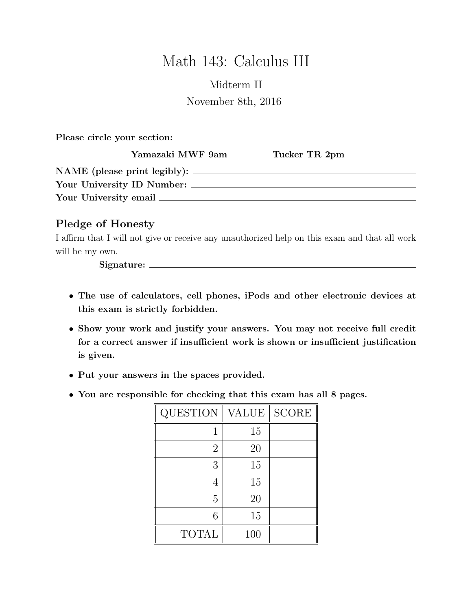# Math 143: Calculus III

## Midterm II November 8th, 2016

Please circle your section:

|                            | Yamazaki MWF 9am                      | Tucker TR 2pm |  |  |  |
|----------------------------|---------------------------------------|---------------|--|--|--|
|                            | $NAME$ (please print legibly): $\_\_$ |               |  |  |  |
| Your University ID Number: |                                       |               |  |  |  |
| Your University email _    |                                       |               |  |  |  |

### Pledge of Honesty

I affirm that I will not give or receive any unauthorized help on this exam and that all work will be my own.

Signature:

- The use of calculators, cell phones, iPods and other electronic devices at this exam is strictly forbidden.
- Show your work and justify your answers. You may not receive full credit for a correct answer if insufficient work is shown or insufficient justification is given.
- Put your answers in the spaces provided.
- You are responsible for checking that this exam has all 8 pages.

| <b>QUESTION</b> | <b>VALUE</b> | <b>SCORE</b> |
|-----------------|--------------|--------------|
|                 | 15           |              |
| $\overline{2}$  | 20           |              |
| 3               | 15           |              |
|                 | 15           |              |
| 5               | 20           |              |
| 6               | 15           |              |
| <b>TOTAL</b>    | 100          |              |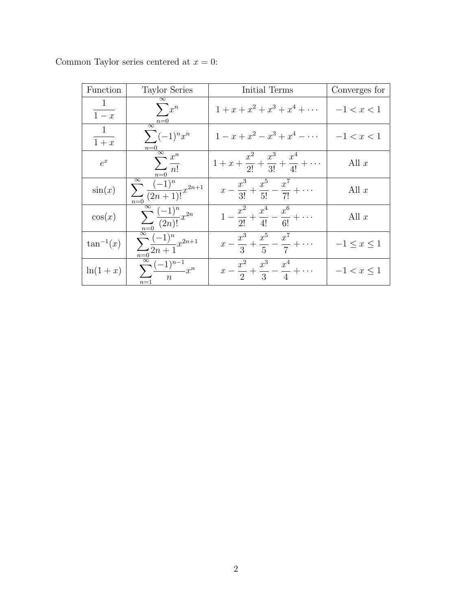| Function        | <b>Taylor Series</b>                                                                                                                                     | Initial Terms                                                       | Converges for      |
|-----------------|----------------------------------------------------------------------------------------------------------------------------------------------------------|---------------------------------------------------------------------|--------------------|
| $\frac{1}{1-x}$ | $\overline{\infty}$<br>$\sum x^n$<br>$\frac{n=0}{\infty}$                                                                                                | $1 + x + x^2 + x^3 + x^4 + \cdots$                                  | $-1 < x < 1$       |
| $\frac{1}{1+x}$ | $\sum (-1)^n x^n$                                                                                                                                        | $1-x+x^2-x^3+x^4-\cdots$                                            | $-1 < x < 1$       |
| $e^x$           | $\frac{\overbrace{n=0}^{n-1}}{\sum_{n=0}^{\infty}\frac{x^n}{n!}}$                                                                                        | $1 + x + \frac{x^2}{2!} + \frac{x^3}{3!} + \frac{x^4}{4!} + \cdots$ | All $x$            |
| $\sin(x)$       | $\sum_{n=0}^{\infty} \frac{(-1)^n}{(2n+1)!} x^{2n+1}$                                                                                                    | $x - \frac{x^3}{3!} + \frac{x^5}{5!} - \frac{x^7}{7!} + \cdots$     | All $x$            |
| $\cos(x)$       |                                                                                                                                                          | $1-\frac{x^2}{2!}+\frac{x^4}{4!}-\frac{x^6}{6!}+\cdots$             | All $x$            |
| $\tan^{-1}(x)$  | $\frac{\sum_{n=0}^{\infty} \frac{(-1)^n}{(2n)!} x^{2n}}{\sum_{n=0}^{\infty} \frac{(-1)^n}{2n+1} x^{2n+1}}$<br>$\sum_{n=1}^{\infty} \frac{(-1)^n}{n} x^n$ | $x-\frac{x^3}{3}+\frac{x^5}{5}-\frac{x^7}{7}+\cdots$                | $-1 \leq x \leq 1$ |
| $\ln(1+x)$      | $n=1$                                                                                                                                                    | $x-\frac{x^2}{2}+\frac{x^3}{3}-\frac{x^4}{4}+\cdots$                | $-1 < x < 1$       |

Common Taylor series centered at  $x = 0$ :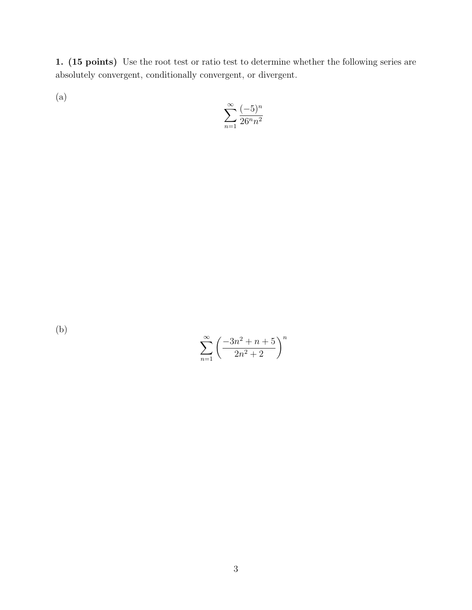1. (15 points) Use the root test or ratio test to determine whether the following series are absolutely convergent, conditionally convergent, or divergent.

(a)

$$
\sum_{n=1}^{\infty} \frac{(-5)^n}{26^n n^2}
$$

(b)

$$
\sum_{n=1}^{\infty} \left( \frac{-3n^2 + n + 5}{2n^2 + 2} \right)^n
$$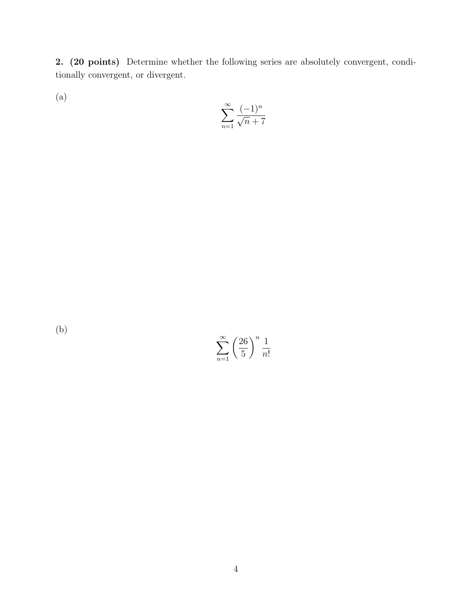2. (20 points) Determine whether the following series are absolutely convergent, conditionally convergent, or divergent.

(a)

$$
\sum_{n=1}^\infty \frac{(-1)^n}{\sqrt{n}+7}
$$

(b)

 $\sum^{\infty}$  $n=1$  $(26)$ 5  $\bigwedge^n 1$ n!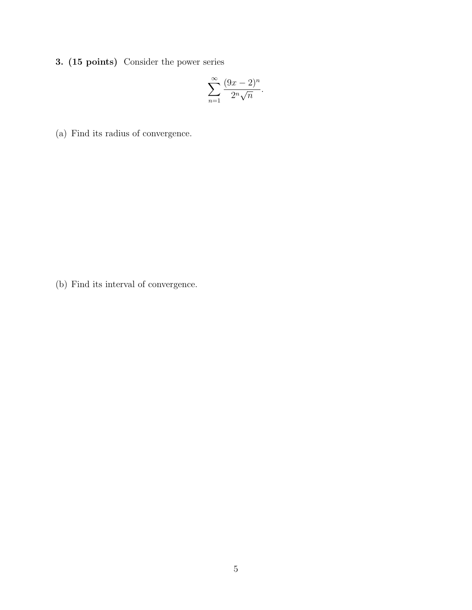3. (15 points) Consider the power series

$$
\sum_{n=1}^{\infty} \frac{(9x-2)^n}{2^n \sqrt{n}}.
$$

(a) Find its radius of convergence.

(b) Find its interval of convergence.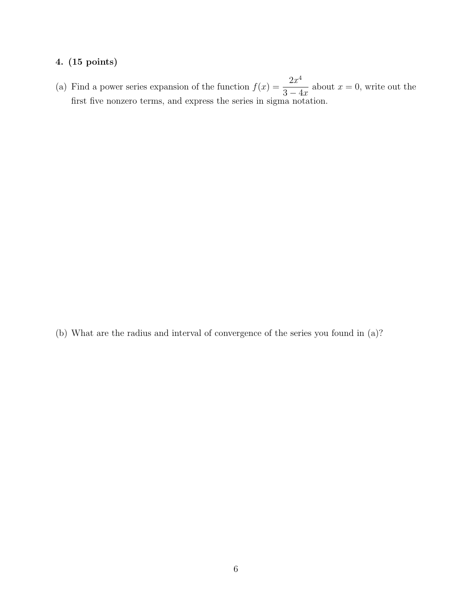#### 4. (15 points)

(a) Find a power series expansion of the function  $f(x) = \frac{2x^4}{2x^4}$  $3 - 4x$ about  $x = 0$ , write out the first five nonzero terms, and express the series in sigma notation.

(b) What are the radius and interval of convergence of the series you found in (a)?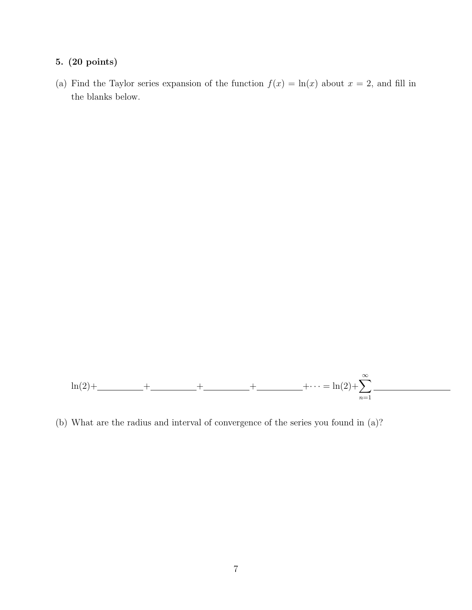#### 5. (20 points)

(a) Find the Taylor series expansion of the function  $f(x) = \ln(x)$  about  $x = 2$ , and fill in the blanks below.



(b) What are the radius and interval of convergence of the series you found in (a)?